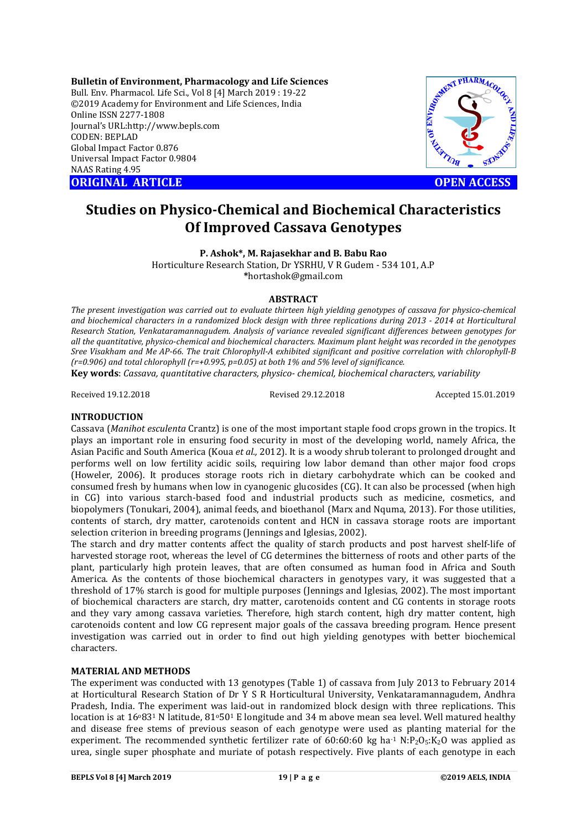**Bulletin of Environment, Pharmacology and Life Sciences** Bull. Env. Pharmacol. Life Sci., Vol 8 [4] March 2019 : 19-22 ©2019 Academy for Environment and Life Sciences, India Online ISSN 2277-1808 Journal's URL:http://www.bepls.com CODEN: BEPLAD Global Impact Factor 0.876 Universal Impact Factor 0.9804 NAAS Rating 4.95 C2019 Academy for Environment and Life Sciences, India<br>
Online ISSN 2277-1808<br>
Journal's URL:http://www.bepls.com<br>
CODEN: BEPLAD<br>
Global Impact Factor 0.9804<br>
MAAS Rating 4.95<br> **ORIGINAL ARTICLE**<br>
OPEN ACCESS



# **Studies on Physico-Chemical and Biochemical Characteristics Of Improved Cassava Genotypes**

**P. Ashok\*, M. Rajasekhar and B. Babu Rao**

Horticulture Research Station, Dr YSRHU, V R Gudem - 534 101, A.P **\***hortashok@gmail.com

## **ABSTRACT**

*The present investigation was carried out to evaluate thirteen high yielding genotypes of cassava for physico-chemical and biochemical characters in a randomized block design with three replications during 2013 - 2014 at Horticultural Research Station, Venkataramannagudem. Analysis of variance revealed significant differences between genotypes for all the quantitative, physico-chemical and biochemical characters. Maximum plant height was recorded in the genotypes Sree Visakham and Me AP-66. The trait Chlorophyll-A exhibited significant and positive correlation with chlorophyll-B (r=0.906) and total chlorophyll (r=+0.995, p=0.05) at both 1% and 5% level of significance.*

**Key words**: *Cassava, quantitative characters, physico- chemical, biochemical characters, variability*

Received 19.12.2018 Revised 29.12.2018 Accepted 15.01.2019

# **INTRODUCTION**

Cassava (*Manihot esculenta* Crantz) is one of the most important staple food crops grown in the tropics. It plays an important role in ensuring food security in most of the developing world, namely Africa, the Asian Pacific and South America (Koua *et al.,* 2012). It is a woody shrub tolerant to prolonged drought and performs well on low fertility acidic soils, requiring low labor demand than other major food crops (Howeler, 2006). It produces storage roots rich in dietary carbohydrate which can be cooked and consumed fresh by humans when low in cyanogenic glucosides (CG). It can also be processed (when high in CG) into various starch-based food and industrial products such as medicine, cosmetics, and biopolymers (Tonukari, 2004), animal feeds, and bioethanol (Marx and Nquma, 2013). For those utilities, contents of starch, dry matter, carotenoids content and HCN in cassava storage roots are important selection criterion in breeding programs (Jennings and Iglesias, 2002).

The starch and dry matter contents affect the quality of starch products and post harvest shelf-life of harvested storage root, whereas the level of CG determines the bitterness of roots and other parts of the plant, particularly high protein leaves, that are often consumed as human food in Africa and South America. As the contents of those biochemical characters in genotypes vary, it was suggested that a threshold of 17% starch is good for multiple purposes (Jennings and Iglesias, 2002). The most important of biochemical characters are starch, dry matter, carotenoids content and CG contents in storage roots and they vary among cassava varieties. Therefore, high starch content, high dry matter content, high carotenoids content and low CG represent major goals of the cassava breeding program. Hence present investigation was carried out in order to find out high yielding genotypes with better biochemical characters.

#### **MATERIAL AND METHODS**

The experiment was conducted with 13 genotypes (Table 1) of cassava from July 2013 to February 2014 at Horticultural Research Station of Dr Y S R Horticultural University, Venkataramannagudem, Andhra Pradesh, India. The experiment was laid-out in randomized block design with three replications. This location is at  $16^{0}83^{1}$  N latitude,  $81^{0}50^{1}$  E longitude and 34 m above mean sea level. Well matured healthy and disease free stems of previous season of each genotype were used as planting material for the experiment. The recommended synthetic fertilizer rate of  $60:60:60$  kg ha<sup>-1</sup> N:P<sub>2</sub>O<sub>5</sub>:K<sub>2</sub>O was applied as urea, single super phosphate and muriate of potash respectively. Five plants of each genotype in each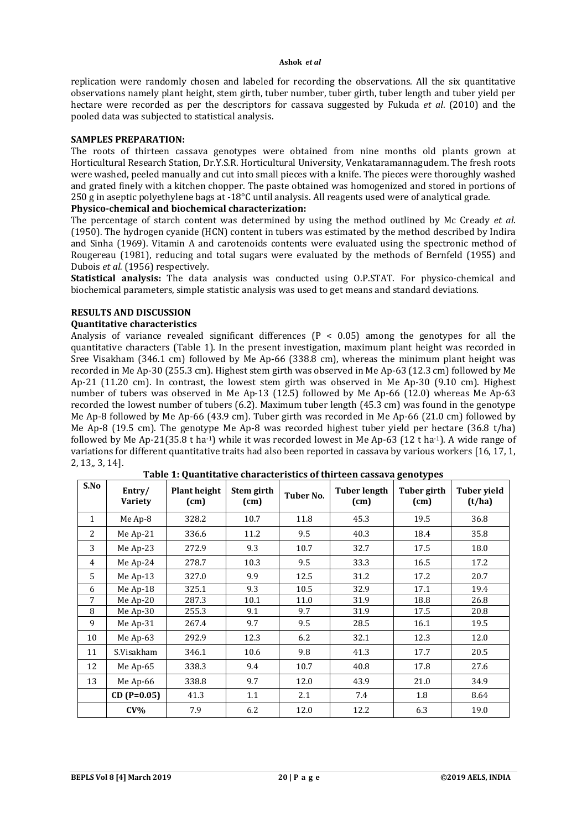#### **Ashok** *et al*

replication were randomly chosen and labeled for recording the observations. All the six quantitative observations namely plant height, stem girth, tuber number, tuber girth, tuber length and tuber yield per hectare were recorded as per the descriptors for cassava suggested by Fukuda *et al*. (2010) and the pooled data was subjected to statistical analysis.

## **SAMPLES PREPARATION:**

The roots of thirteen cassava genotypes were obtained from nine months old plants grown at Horticultural Research Station, Dr.Y.S.R. Horticultural University, Venkataramannagudem. The fresh roots were washed, peeled manually and cut into small pieces with a knife. The pieces were thoroughly washed and grated finely with a kitchen chopper. The paste obtained was homogenized and stored in portions of 250 g in aseptic polyethylene bags at -18°C until analysis. All reagents used were of analytical grade.

# **Physico-chemical and biochemical characterization:**

The percentage of starch content was determined by using the method outlined by Mc Cready *et al*. (1950). The hydrogen cyanide (HCN) content in tubers was estimated by the method described by Indira and Sinha (1969). Vitamin A and carotenoids contents were evaluated using the spectronic method of Rougereau (1981), reducing and total sugars were evaluated by the methods of Bernfeld (1955) and Dubois *et al.* (1956) respectively.

**Statistical analysis:** The data analysis was conducted using O.P.STAT. For physico-chemical and biochemical parameters, simple statistic analysis was used to get means and standard deviations.

# **RESULTS AND DISCUSSION**

# **Quantitative characteristics**

Analysis of variance revealed significant differences  $(P < 0.05)$  among the genotypes for all the quantitative characters (Table 1). In the present investigation, maximum plant height was recorded in Sree Visakham (346.1 cm) followed by Me Ap-66 (338.8 cm), whereas the minimum plant height was recorded in Me Ap-30 (255.3 cm). Highest stem girth was observed in Me Ap-63 (12.3 cm) followed by Me Ap-21 (11.20 cm). In contrast, the lowest stem girth was observed in Me Ap-30 (9.10 cm). Highest number of tubers was observed in Me Ap-13 (12.5) followed by Me Ap-66 (12.0) whereas Me Ap-63 recorded the lowest number of tubers (6.2). Maximum tuber length (45.3 cm) was found in the genotype Me Ap-8 followed by Me Ap-66 (43.9 cm). Tuber girth was recorded in Me Ap-66 (21.0 cm) followed by Me Ap-8 (19.5 cm). The genotype Me Ap-8 was recorded highest tuber yield per hectare (36.8 t/ha) followed by Me Ap-21(35.8 t ha<sup>-1</sup>) while it was recorded lowest in Me Ap-63 (12 t ha<sup>-1</sup>). A wide range of variations for different quantitative traits had also been reported in cassava by various workers [16, 17, 1, 2, 13,, 3, 14].

| S.No         | Entry/<br><b>Variety</b> | <b>Plant height</b><br>(cm) | Stem girth<br>(cm) | Tuber No. | <b>Tuber length</b><br>(cm) | Tuber girth<br>(cm) | <b>Tuber vield</b><br>(t/ha) |
|--------------|--------------------------|-----------------------------|--------------------|-----------|-----------------------------|---------------------|------------------------------|
| $\mathbf{1}$ | Me Ap-8                  | 328.2                       | 10.7               | 11.8      | 45.3                        | 19.5                | 36.8                         |
| 2            | Me Ap-21                 | 336.6                       | 11.2               | 9.5       | 40.3                        | 18.4                | 35.8                         |
| 3            | Me Ap-23                 | 272.9                       | 9.3                | 10.7      | 32.7                        | 17.5                | 18.0                         |
| 4            | Me Ap-24                 | 278.7                       | 10.3               | 9.5       | 33.3                        | 16.5                | 17.2                         |
| 5            | Me Ap-13                 | 327.0                       | 9.9                | 12.5      | 31.2                        | 17.2                | 20.7                         |
| 6            | Me Ap-18                 | 325.1                       | 9.3                | 10.5      | 32.9                        | 17.1                | 19.4                         |
| 7            | Me Ap-20                 | 287.3                       | 10.1               | 11.0      | 31.9                        | 18.8                | 26.8                         |
| 8            | Me Ap-30                 | 255.3                       | 9.1                | 9.7       | 31.9                        | 17.5                | 20.8                         |
| 9            | Me Ap-31                 | 267.4                       | 9.7                | 9.5       | 28.5                        | 16.1                | 19.5                         |
| 10           | Me Ap-63                 | 292.9                       | 12.3               | 6.2       | 32.1                        | 12.3                | 12.0                         |
| 11           | S.Visakham               | 346.1                       | 10.6               | 9.8       | 41.3                        | 17.7                | 20.5                         |
| 12           | Me Ap-65                 | 338.3                       | 9.4                | 10.7      | 40.8                        | 17.8                | 27.6                         |
| 13           | Me Ap-66                 | 338.8                       | 9.7                | 12.0      | 43.9                        | 21.0                | 34.9                         |
|              | $CD (P=0.05)$            | 41.3                        | 1.1                | 2.1       | 7.4                         | 1.8                 | 8.64                         |
|              | $CV\%$                   | 7.9                         | 6.2                | 12.0      | 12.2                        | 6.3                 | 19.0                         |

**Table 1: Quantitative characteristics of thirteen cassava genotypes**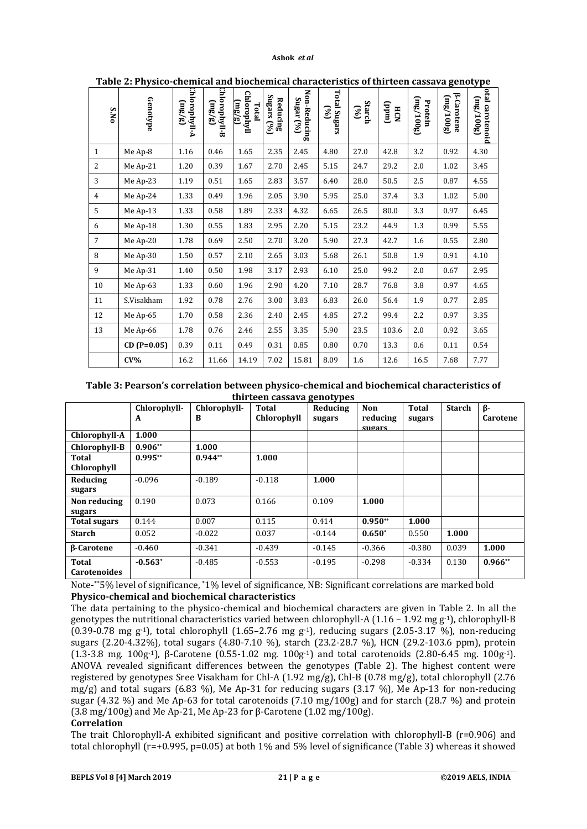#### **Ashok** *et al*

| .<br>S.No      | Genotype      | Chlorophyll-A<br>(3/3) | Chlorophyll-B<br>$\frac{3}{2}$ | Chlorophyll<br>(mg/g)<br>Total | Reducing<br>Sugars (%) | Non-Reducing<br>Sugar (%) | $\begin{bmatrix} 6\% \end{bmatrix}$ Total Sugars | Starch $\begin{pmatrix} 0/6 \\ 0/6 \end{pmatrix}$ | .co or thirteen cabba+a<br>(undd)<br>HCN | (3001/3m)<br>Protein | $5^{\circ}$<br><b>B-Carotene</b><br>(3001/3m) | lotal carotenoid<br>(mg/100g) |
|----------------|---------------|------------------------|--------------------------------|--------------------------------|------------------------|---------------------------|--------------------------------------------------|---------------------------------------------------|------------------------------------------|----------------------|-----------------------------------------------|-------------------------------|
| $\mathbf{1}$   | Me Ap-8       | 1.16                   | 0.46                           | 1.65                           | 2.35                   | 2.45                      | 4.80                                             | 27.0                                              | 42.8                                     | 3.2                  | 0.92                                          | 4.30                          |
| 2              | Me Ap-21      | 1.20                   | 0.39                           | 1.67                           | 2.70                   | 2.45                      | 5.15                                             | 24.7                                              | 29.2                                     | 2.0                  | 1.02                                          | 3.45                          |
| 3              | Me Ap-23      | 1.19                   | 0.51                           | 1.65                           | 2.83                   | 3.57                      | 6.40                                             | 28.0                                              | 50.5                                     | 2.5                  | 0.87                                          | 4.55                          |
| 4              | Me Ap-24      | 1.33                   | 0.49                           | 1.96                           | 2.05                   | 3.90                      | 5.95                                             | 25.0                                              | 37.4                                     | 3.3                  | 1.02                                          | 5.00                          |
| 5              | Me Ap-13      | 1.33                   | 0.58                           | 1.89                           | 2.33                   | 4.32                      | 6.65                                             | 26.5                                              | 80.0                                     | 3.3                  | 0.97                                          | 6.45                          |
| 6              | Me Ap-18      | 1.30                   | 0.55                           | 1.83                           | 2.95                   | 2.20                      | 5.15                                             | 23.2                                              | 44.9                                     | 1.3                  | 0.99                                          | 5.55                          |
| $\overline{7}$ | Me Ap-20      | 1.78                   | 0.69                           | 2.50                           | 2.70                   | 3.20                      | 5.90                                             | 27.3                                              | 42.7                                     | 1.6                  | 0.55                                          | 2.80                          |
| 8              | Me Ap-30      | 1.50                   | 0.57                           | 2.10                           | 2.65                   | 3.03                      | 5.68                                             | 26.1                                              | 50.8                                     | 1.9                  | 0.91                                          | 4.10                          |
| 9              | Me Ap-31      | 1.40                   | 0.50                           | 1.98                           | 3.17                   | 2.93                      | 6.10                                             | 25.0                                              | 99.2                                     | 2.0                  | 0.67                                          | 2.95                          |
| 10             | Me Ap-63      | 1.33                   | 0.60                           | 1.96                           | 2.90                   | 4.20                      | 7.10                                             | 28.7                                              | 76.8                                     | 3.8                  | 0.97                                          | 4.65                          |
| 11             | S.Visakham    | 1.92                   | 0.78                           | 2.76                           | 3.00                   | 3.83                      | 6.83                                             | 26.0                                              | 56.4                                     | 1.9                  | 0.77                                          | 2.85                          |
| 12             | Me Ap-65      | 1.70                   | 0.58                           | 2.36                           | 2.40                   | 2.45                      | 4.85                                             | 27.2                                              | 99.4                                     | 2.2                  | 0.97                                          | 3.35                          |
| 13             | Me Ap-66      | 1.78                   | 0.76                           | 2.46                           | 2.55                   | 3.35                      | 5.90                                             | 23.5                                              | 103.6                                    | 2.0                  | 0.92                                          | 3.65                          |
|                | $CD (P=0.05)$ | 0.39                   | 0.11                           | 0.49                           | 0.31                   | 0.85                      | 0.80                                             | 0.70                                              | 13.3                                     | 0.6                  | 0.11                                          | 0.54                          |
|                | $CV\%$        | 16.2                   | 11.66                          | 14.19                          | 7.02                   | 15.81                     | 8.09                                             | 1.6                                               | 12.6                                     | 16.5                 | 7.68                                          | 7.77                          |

**Table 2: Physico-chemical and biochemical characteristics of thirteen cassava genotype**

**Table 3: Pearson's correlation between physico-chemical and biochemical characteristics of thirteen cassava genotypes**

|                          | Chlorophyll- | Chlorophyll- | <b>Total</b> | $\mathbf{r}$<br>- - J F -<br>Reducing | <b>Non</b>    | <b>Total</b> | <b>Starch</b> | $\beta$ - |
|--------------------------|--------------|--------------|--------------|---------------------------------------|---------------|--------------|---------------|-----------|
|                          | A            | B            | Chlorophyll  | sugars                                | reducing      | sugars       |               | Carotene  |
|                          |              |              |              |                                       | <b>SHOATS</b> |              |               |           |
| Chlorophyll-A            | 1.000        |              |              |                                       |               |              |               |           |
| Chlorophyll-B            | $0.906**$    | 1.000        |              |                                       |               |              |               |           |
| Total                    | $0.995**$    | $0.944**$    | 1.000        |                                       |               |              |               |           |
| Chlorophyll              |              |              |              |                                       |               |              |               |           |
| Reducing                 | $-0.096$     | $-0.189$     | $-0.118$     | 1.000                                 |               |              |               |           |
| sugars                   |              |              |              |                                       |               |              |               |           |
| Non reducing             | 0.190        | 0.073        | 0.166        | 0.109                                 | 1.000         |              |               |           |
| sugars                   |              |              |              |                                       |               |              |               |           |
| <b>Total sugars</b>      | 0.144        | 0.007        | 0.115        | 0.414                                 | $0.950**$     | 1.000        |               |           |
| <b>Starch</b>            | 0.052        | $-0.022$     | 0.037        | $-0.144$                              | $0.650*$      | 0.550        | 1.000         |           |
| <b><i>B-Carotene</i></b> | $-0.460$     | $-0.341$     | $-0.439$     | $-0.145$                              | $-0.366$      | $-0.380$     | 0.039         | 1.000     |
| <b>Total</b>             | $-0.563*$    | $-0.485$     | $-0.553$     | $-0.195$                              | $-0.298$      | $-0.334$     | 0.130         | $0.966**$ |
| <b>Carotenoides</b>      |              |              |              |                                       |               |              |               |           |

Note-\*\*5% level of significance, \*1% level of significance, NB: Significant correlations are marked bold **Physico-chemical and biochemical characteristics**

The data pertaining to the physico-chemical and biochemical characters are given in Table 2. In all the genotypes the nutritional characteristics varied between chlorophyll-A (1.16 – 1.92 mg g-1), chlorophyll-B  $(0.39-0.78 \text{ mg g}^{-1})$ , total chlorophyll  $(1.65-2.76 \text{ mg g}^{-1})$ , reducing sugars  $(2.05-3.17 \%)$ , non-reducing sugars (2.20-4.32%), total sugars (4.80-7.10 %), starch (23.2-28.7 %), HCN (29.2-103.6 ppm), protein (1.3-3.8 mg. 100g-1), β-Carotene (0.55-1.02 mg. 100g-1) and total carotenoids (2.80-6.45 mg. 100g-1). ANOVA revealed significant differences between the genotypes (Table 2). The highest content were registered by genotypes Sree Visakham for Chl-A (1.92 mg/g), Chl-B (0.78 mg/g), total chlorophyll (2.76 mg/g) and total sugars (6.83 %), Me Ap-31 for reducing sugars (3.17 %), Me Ap-13 for non-reducing sugar (4.32 %) and Me Ap-63 for total carotenoids (7.10 mg/100g) and for starch (28.7 %) and protein (3.8 mg/100g) and Me Ap-21, Me Ap-23 for β-Carotene (1.02 mg/100g).

# **Correlation**

The trait Chlorophyll-A exhibited significant and positive correlation with chlorophyll-B (r=0.906) and total chlorophyll (r=+0.995, p=0.05) at both 1% and 5% level of significance (Table 3) whereas it showed